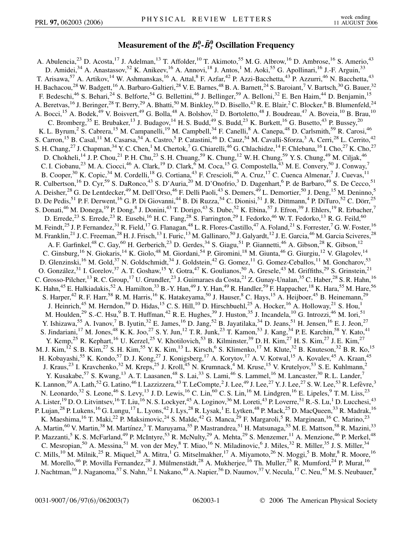## **Measurement of the** *B***<sup>0</sup>** *<sup>s</sup>* **-***B* **<sup>0</sup>** *<sup>s</sup>* **Oscillation Frequency**

A. Abulencia,<sup>23</sup> D. Acosta,<sup>17</sup> J. Adelman,<sup>13</sup> T. Affolder,<sup>10</sup> T. Akimoto,<sup>55</sup> M. G. Albrow,<sup>16</sup> D. Ambrose,<sup>16</sup> S. Amerio,<sup>43</sup> D. Amidei,<sup>34</sup> A. Anastassov,<sup>52</sup> K. Anikeev,<sup>16</sup> A. Annovi,<sup>18</sup> J. Antos,<sup>1</sup> M. Aoki,<sup>55</sup> G. Apollinari,<sup>16</sup> J.-F. Arguin,<sup>33</sup> T. Arisawa,<sup>57</sup> A. Artikov,<sup>14</sup> W. Ashmanskas,<sup>16</sup> A. Attal,<sup>8</sup> F. Azfar,<sup>42</sup> P. Azzi-Bacchetta,<sup>43</sup> P. Azzurri,<sup>46</sup> N. Bacchetta,<sup>43</sup> H. Bachacou,<sup>28</sup> W. Badgett,<sup>16</sup> A. Barbaro-Galtieri,<sup>28</sup> V. E. Barnes,<sup>48</sup> B. A. Barnett,<sup>24</sup> S. Baroiant,<sup>7</sup> V. Bartsch,<sup>30</sup> G. Bauer,<sup>32</sup> F. Bedeschi,<sup>46</sup> S. Behari,<sup>24</sup> S. Belforte,<sup>54</sup> G. Bellettini,<sup>46</sup> J. Bellinger,<sup>59</sup> A. Belloni,<sup>32</sup> E. Ben Haim,<sup>44</sup> D. Benjamin,<sup>15</sup> A. Beretvas, <sup>16</sup> J. Beringer, <sup>28</sup> T. Berry, <sup>29</sup> A. Bhatti, <sup>50</sup> M. Binkley, <sup>16</sup> D. Bisello, <sup>43</sup> R. E. Blair, <sup>2</sup> C. Blocker, <sup>6</sup> B. Blumenfeld, <sup>24</sup> A. Bocci, <sup>15</sup> A. Bodek, <sup>49</sup> V. Boisvert, <sup>49</sup> G. Bolla, <sup>48</sup> A. Bolshov, <sup>32</sup> D. Bortoletto, <sup>48</sup> J. Boudreau, <sup>47</sup> A. Boveia, <sup>10</sup> B. Brau, <sup>10</sup> C. Bromberg,  $35$  E. Brubaker,  $^{13}$  J. Budagov,  $^{14}$  H. S. Budd,  $^{49}$  S. Budd,  $^{23}$  K. Burkett,  $^{16}$  G. Busetto,  $^{43}$  P. Bussey,  $^{20}$ K. L. Byrum,<sup>2</sup> S. Cabrera,<sup>15</sup> M. Campanelli,<sup>19</sup> M. Campbell,<sup>34</sup> F. Canelli,<sup>8</sup> A. Canepa,<sup>48</sup> D. Carlsmith,<sup>59</sup> R. Carosi,<sup>46</sup> S. Carron,<sup>15</sup> B. Casal,<sup>11</sup> M. Casarsa,<sup>54</sup> A. Castro,<sup>5</sup> P. Catastini,<sup>46</sup> D. Cauz,<sup>54</sup> M. Cavalli-Sforza,<sup>3</sup> A. Cerri,<sup>28</sup> L. Cerrito,<sup>42</sup> S. H. Chang,  $^{27}$  J. Chapman,  $^{34}$  Y. C. Chen,  $^1$  M. Chertok,  $^7$  G. Chiarelli,  $^{46}$  G. Chlachidze,  $^{14}$  F. Chlebana,  $^{16}$  I. Cho,  $^{27}$  K. Cho,  $^{27}$ D. Chokheli,<sup>14</sup> J. P. Chou,<sup>21</sup> P. H. Chu,<sup>23</sup> S. H. Chuang,<sup>59</sup> K. Chung,<sup>12</sup> W. H. Chung,<sup>59</sup> Y. S. Chung,<sup>49</sup> M. Ciljak,<sup>46</sup> C. I. Ciobanu,<sup>23</sup> M. A. Ciocci,<sup>46</sup> A. Clark,<sup>19</sup> D. Clark,<sup>6</sup> M. Coca,<sup>15</sup> G. Compostella,<sup>43</sup> M. E. Convery,<sup>50</sup> J. Conway,<sup>7</sup> B. Cooper,<sup>30</sup> K. Copic,<sup>34</sup> M. Cordelli,<sup>18</sup> G. Cortiana,<sup>43</sup> F. Crescioli,<sup>46</sup> A. Cruz,<sup>17</sup> C. Cuenca Almenar,<sup>7</sup> J. Cuevas,<sup>11</sup> R. Culbertson,<sup>16</sup> D. Cyr,<sup>59</sup> S. DaRonco,<sup>43</sup> S. D'Auria,<sup>20</sup> M. D'Onofrio,<sup>3</sup> D. Dagenhart,<sup>6</sup> P. de Barbaro,<sup>49</sup> S. De Cecco,<sup>51</sup> A. Deisher,<sup>28</sup> G. De Lentdecker,<sup>49</sup> M. Dell'Orso,<sup>46</sup> F. Delli Paoli,<sup>43</sup> S. Demers,<sup>49</sup> L. Demortier,<sup>50</sup> J. Deng,<sup>15</sup> M. Deninno,<sup>5</sup> D. De Pedis,<sup>51</sup> P. F. Derwent,<sup>16</sup> G. P. Di Giovanni,<sup>44</sup> B. Di Ruzza,<sup>54</sup> C. Dionisi,<sup>51</sup> J. R. Dittmann,<sup>4</sup> P. DiTuro,<sup>52</sup> C. Dörr,<sup>25</sup> S. Donati,<sup>46</sup> M. Donega,<sup>19</sup> P. Dong,<sup>8</sup> J. Donini,<sup>43</sup> T. Dorigo,<sup>43</sup> S. Dube,<sup>52</sup> K. Ebina,<sup>57</sup> J. Efron,<sup>39</sup> J. Ehlers,<sup>19</sup> R. Erbacher,<sup>7</sup> D. Errede,<sup>23</sup> S. Errede,<sup>23</sup> R. Eusebi,<sup>16</sup> H. C. Fang,<sup>28</sup> S. Farrington,<sup>29</sup> I. Fedorko,<sup>46</sup> W. T. Fedorko,<sup>13</sup> R. G. Feild,<sup>60</sup> M. Feindt,<sup>25</sup> J. P. Fernandez,<sup>31</sup> R. Field,<sup>17</sup> G. Flanagan,<sup>48</sup> L. R. Flores-Castillo,<sup>47</sup> A. Foland,<sup>21</sup> S. Forrester,<sup>7</sup> G. W. Foster,<sup>16</sup> M. Franklin,<sup>21</sup> J. C. Freeman,<sup>28</sup> H. J. Frisch,<sup>13</sup> I. Furic,<sup>13</sup> M. Gallinaro,<sup>50</sup> J. Galyardt,<sup>12</sup> J. E. Garcia,<sup>46</sup> M. Garcia Sciveres,<sup>28</sup> A. F. Garfinkel,<sup>48</sup> C. Gay,<sup>60</sup> H. Gerberich,<sup>23</sup> D. Gerdes,<sup>34</sup> S. Giagu,<sup>51</sup> P. Giannetti,<sup>46</sup> A. Gibson,<sup>28</sup> K. Gibson,<sup>12</sup> C. Ginsburg,<sup>16</sup> N. Giokaris,<sup>14</sup> K. Giolo,<sup>48</sup> M. Giordani,<sup>54</sup> P. Giromini,<sup>18</sup> M. Giunta,<sup>46</sup> G. Giurgiu,<sup>12</sup> V. Glagolev,<sup>14</sup> D. Glenzinski,<sup>16</sup> M. Gold,<sup>37</sup> N. Goldschmidt,<sup>34</sup> J. Goldstein,<sup>42</sup> G. Gomez,<sup>11</sup> G. Gomez-Ceballos,<sup>11</sup> M. Goncharov,<sup>53</sup> O. González,<sup>31</sup> I. Gorelov,<sup>37</sup> A. T. Goshaw,<sup>15</sup> Y. Gotra,<sup>47</sup> K. Goulianos,<sup>50</sup> A. Gresele,<sup>43</sup> M. Griffiths,<sup>29</sup> S. Grinstein,<sup>21</sup> C. Grosso-Pilcher,<sup>13</sup> R. C. Group,<sup>17</sup> U. Grundler,<sup>23</sup> J. Guimaraes da Costa,<sup>21</sup> Z. Gunay-Unalan,<sup>35</sup> C. Haber,<sup>28</sup> S. R. Hahn,<sup>16</sup> K. Hahn,<sup>45</sup> E. Halkiadakis,<sup>52</sup> A. Hamilton,<sup>33</sup> B.-Y. Han,<sup>49</sup> J. Y. Han,<sup>49</sup> R. Handler,<sup>59</sup> F. Happacher,<sup>18</sup> K. Hara,<sup>55</sup> M. Hare,<sup>56</sup> S. Harper,<sup>42</sup> R. F. Harr,<sup>58</sup> R. M. Harris,<sup>16</sup> K. Hatakeyama,<sup>50</sup> J. Hauser,<sup>8</sup> C. Hays,<sup>15</sup> A. Heijboer,<sup>45</sup> B. Heinemann,<sup>29</sup> J. Heinrich,<sup>45</sup> M. Herndon,<sup>59</sup> D. Hidas,<sup>15</sup> C. S. Hill,<sup>10</sup> D. Hirschbuehl,<sup>25</sup> A. Hocker,<sup>16</sup> A. Holloway,<sup>21</sup> S. Hou,<sup>1</sup> M. Houlden,<sup>29</sup> S.-C. Hsu,<sup>9</sup> B. T. Huffman,<sup>42</sup> R. E. Hughes,<sup>39</sup> J. Huston,<sup>35</sup> J. Incandela,<sup>10</sup> G. Introzzi,<sup>46</sup> M. Iori,<sup>51</sup> Y. Ishizawa,<sup>55</sup> A. Ivanov,<sup>7</sup> B. Iyutin,<sup>32</sup> E. James,<sup>16</sup> D. Jang,<sup>52</sup> B. Jayatilaka,<sup>34</sup> D. Jeans,<sup>51</sup> H. Jensen,<sup>16</sup> E. J. Jeon,<sup>27</sup> S. Jindariani,<sup>17</sup> M. Jones,<sup>48</sup> K. K. Joo,<sup>27</sup> S. Y. Jun,<sup>12</sup> T. R. Junk,<sup>23</sup> T. Kamon,<sup>53</sup> J. Kang,<sup>34</sup> P. E. Karchin,<sup>58</sup> Y. Kato,<sup>41</sup> Y. Kemp,<sup>25</sup> R. Kephart,<sup>16</sup> U. Kerzel,<sup>25</sup> V. Khotilovich,<sup>53</sup> B. Kilminster,<sup>39</sup> D. H. Kim,<sup>27</sup> H. S. Kim,<sup>27</sup> J. E. Kim,<sup>27</sup> M. J. Kim,  $^{12}$  S. B. Kim,  $^{27}$  S. H. Kim,  $^{55}$  Y. K. Kim,  $^{13}$  L. Kirsch,  $^{6}$  S. Klimenko,  $^{17}$  M. Klute,  $^{32}$  B. Knuteson,  $^{32}$  B. R. Ko,  $^{15}$ H. Kobayashi,<sup>55</sup> K. Kondo,<sup>57</sup> D. J. Kong,<sup>27</sup> J. Konigsberg,<sup>17</sup> A. Korytov,<sup>17</sup> A. V. Kotwal,<sup>15</sup> A. Kovalev,<sup>45</sup> A. Kraan,<sup>45</sup> J. Kraus,<sup>23</sup> I. Kravchenko,<sup>32</sup> M. Kreps,<sup>25</sup> J. Kroll,<sup>45</sup> N. Krumnack,<sup>4</sup> M. Kruse,<sup>15</sup> V. Krutelyov,<sup>53</sup> S. E. Kuhlmann,<sup>2</sup> Y. Kusakabe,<sup>57</sup> S. Kwang,<sup>13</sup> A. T. Laasanen,<sup>48</sup> S. Lai,<sup>33</sup> S. Lami,<sup>46</sup> S. Lammel,<sup>16</sup> M. Lancaster,<sup>30</sup> R. L. Lander,<sup>7</sup> K. Lannon,<sup>39</sup> A. Lath,<sup>52</sup> G. Latino,<sup>46</sup> I. Lazzizzera,<sup>43</sup> T. LeCompte,<sup>2</sup> J. Lee,<sup>49</sup> J. Lee,<sup>27</sup> Y. J. Lee,<sup>27</sup> S. W. Lee,<sup>53</sup> R. Lefèvre,<sup>3</sup> N. Leonardo,<sup>32</sup> S. Leone,<sup>46</sup> S. Levy,<sup>13</sup> J.D. Lewis,<sup>16</sup> C. Lin,<sup>60</sup> C. S. Lin,<sup>16</sup> M. Lindgren,<sup>16</sup> E. Lipeles,<sup>9</sup> T. M. Liss,<sup>23</sup> A. Lister,<sup>19</sup> D. O. Litvintsev,<sup>16</sup> T. Liu,<sup>16</sup> N. S. Lockyer,<sup>45</sup> A. Loginov,<sup>36</sup> M. Loreti,<sup>43</sup> P. Loverre,<sup>51</sup> R.-S. Lu,<sup>1</sup> D. Lucchesi,<sup>43</sup> P. Lujan,<sup>28</sup> P. Lukens,<sup>16</sup> G. Lungu,<sup>17</sup> L. Lyons,<sup>42</sup> J. Lys,<sup>28</sup> R. Lysak,<sup>1</sup> E. Lytken,<sup>48</sup> P. Mack,<sup>25</sup> D. MacQueen,<sup>33</sup> R. Madrak,<sup>16</sup> K. Maeshima,<sup>16</sup> T. Maki,<sup>22</sup> P. Maksimovic,<sup>24</sup> S. Malde,<sup>42</sup> G. Manca,<sup>29</sup> F. Margaroli,<sup>5</sup> R. Marginean,<sup>16</sup> C. Marino,<sup>23</sup> A. Martin,<sup>60</sup> V. Martin,<sup>38</sup> M. Martínez,<sup>3</sup> T. Maruyama,<sup>55</sup> P. Mastrandrea,<sup>51</sup> H. Matsunaga,<sup>55</sup> M. E. Mattson,<sup>58</sup> R. Mazini,<sup>33</sup> P. Mazzanti,<sup>5</sup> K. S. McFarland,<sup>49</sup> P. McIntyre,<sup>53</sup> R. McNulty,<sup>29</sup> A. Mehta,<sup>29</sup> S. Menzemer,<sup>11</sup> A. Menzione,<sup>46</sup> P. Merkel,<sup>48</sup> C. Mesropian,<sup>50</sup> A. Messina,<sup>51</sup> M. von der Mey,<sup>8</sup> T. Miao,<sup>16</sup> N. Miladinovic,<sup>6</sup> J. Miles,<sup>32</sup> R. Miller,<sup>35</sup> J. S. Miller,<sup>34</sup> C. Mills,<sup>10</sup> M. Milnik,<sup>25</sup> R. Miquel,<sup>28</sup> A. Mitra,<sup>1</sup> G. Mitselmakher,<sup>17</sup> A. Miyamoto,<sup>26</sup> N. Moggi,<sup>5</sup> B. Mohr,<sup>8</sup> R. Moore,<sup>16</sup> M. Morello,<sup>46</sup> P. Movilla Fernandez,<sup>28</sup> J. Mülmenstädt,<sup>28</sup> A. Mukherjee,<sup>16</sup> Th. Muller,<sup>25</sup> R. Mumford,<sup>24</sup> P. Murat,<sup>16</sup> J. Nachtman,<sup>16</sup> J. Naganoma,<sup>57</sup> S. Nahn,<sup>32</sup> I. Nakano,<sup>40</sup> A. Napier,<sup>56</sup> D. Naumov,<sup>37</sup> V. Necula,<sup>17</sup> C. Neu,<sup>45</sup> M. S. Neubauer,<sup>9</sup>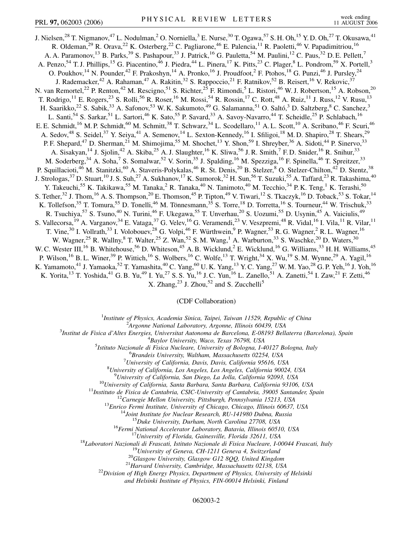J. Nielsen,<sup>28</sup> T. Nigmanov,<sup>47</sup> L. Nodulman,<sup>2</sup> O. Norniella,<sup>3</sup> E. Nurse,<sup>30</sup> T. Ogawa,<sup>57</sup> S. H. Oh,<sup>15</sup> Y. D. Oh,<sup>27</sup> T. Okusawa,<sup>41</sup> R. Oldeman,<sup>29</sup> R. Orava,<sup>22</sup> K. Osterberg,<sup>22</sup> C. Pagliarone,<sup>46</sup> E. Palencia,<sup>11</sup> R. Paoletti,<sup>46</sup> V. Papadimitriou,<sup>16</sup> A. A. Paramonov,<sup>13</sup> B. Parks,<sup>39</sup> S. Pashapour,<sup>33</sup> J. Patrick,<sup>16</sup> G. Pauletta,<sup>54</sup> M. Paulini,<sup>12</sup> C. Paus,<sup>32</sup> D. E. Pellett,<sup>7</sup> A. Penzo,<sup>54</sup> T. J. Phillips,<sup>15</sup> G. Piacentino,<sup>46</sup> J. Piedra,<sup>44</sup> L. Pinera,<sup>17</sup> K. Pitts,<sup>23</sup> C. Plager,<sup>8</sup> L. Pondrom,<sup>59</sup> X. Portell,<sup>3</sup> O. Poukhov,<sup>14</sup> N. Pounder,<sup>42</sup> F. Prakoshyn,<sup>14</sup> A. Pronko,<sup>16</sup> J. Proudfoot,<sup>2</sup> F. Ptohos,<sup>18</sup> G. Punzi,<sup>46</sup> J. Pursley,<sup>24</sup> J. Rademacker,<sup>42</sup> A. Rahaman,<sup>47</sup> A. Rakitin,<sup>32</sup> S. Rappoccio,<sup>21</sup> F. Ratnikov,<sup>52</sup> B. Reisert,<sup>16</sup> V. Rekovic,<sup>37</sup> N. van Remortel,<sup>22</sup> P. Renton,<sup>42</sup> M. Rescigno,<sup>51</sup> S. Richter,<sup>25</sup> F. Rimondi,<sup>5</sup> L. Ristori,<sup>46</sup> W. J. Robertson,<sup>15</sup> A. Robson,<sup>20</sup> T. Rodrigo,<sup>11</sup> E. Rogers,<sup>23</sup> S. Rolli,<sup>56</sup> R. Roser,<sup>16</sup> M. Rossi,<sup>54</sup> R. Rossin,<sup>17</sup> C. Rott,<sup>48</sup> A. Ruiz,<sup>11</sup> J. Russ,<sup>12</sup> V. Rusu,<sup>13</sup> H. Saarikko,<sup>22</sup> S. Sabik,<sup>33</sup> A. Safonov,<sup>53</sup> W.K. Sakumoto,<sup>49</sup> G. Salamanna,<sup>51</sup> O. Saltó,<sup>3</sup> D. Saltzberg,<sup>8</sup> C. Sanchez,<sup>3</sup> L. Santi,<sup>54</sup> S. Sarkar,<sup>51</sup> L. Sartori,<sup>46</sup> K. Sato,<sup>55</sup> P. Savard,<sup>33</sup> A. Savoy-Navarro,<sup>44</sup> T. Scheidle,<sup>25</sup> P. Schlabach,<sup>16</sup> E. E. Schmidt,<sup>16</sup> M. P. Schmidt,<sup>60</sup> M. Schmitt,<sup>38</sup> T. Schwarz,<sup>34</sup> L. Scodellaro,<sup>11</sup> A. L. Scott,<sup>10</sup> A. Scribano,<sup>46</sup> F. Scuri,<sup>46</sup> A. Sedov,<sup>48</sup> S. Seidel,<sup>37</sup> Y. Seiya,<sup>41</sup> A. Semenov,<sup>14</sup> L. Sexton-Kennedy,<sup>16</sup> I. Sfiligoi,<sup>18</sup> M. D. Shapiro,<sup>28</sup> T. Shears,<sup>29</sup> P. F. Shepard,<sup>47</sup> D. Sherman,<sup>21</sup> M. Shimojima,<sup>55</sup> M. Shochet,<sup>13</sup> Y. Shon,<sup>59</sup> I. Shreyber,<sup>36</sup> A. Sidoti,<sup>44</sup> P. Sinervo,<sup>33</sup> A. Sisakyan,<sup>14</sup> J. Sjolin,<sup>42</sup> A. Skiba,<sup>25</sup> A. J. Slaughter,<sup>16</sup> K. Sliwa,<sup>56</sup> J. R. Smith,<sup>7</sup> F. D. Snider,<sup>16</sup> R. Snihur,<sup>33</sup> M. Soderberg,<sup>34</sup> A. Soha,<sup>7</sup> S. Somalwar,<sup>52</sup> V. Sorin,<sup>35</sup> J. Spalding,<sup>16</sup> M. Spezziga,<sup>16</sup> F. Spinella,<sup>46</sup> T. Spreitzer,<sup>33</sup> P. Squillacioti,<sup>46</sup> M. Stanitzki,<sup>60</sup> A. Staveris-Polykalas,<sup>46</sup> R. St. Denis,<sup>20</sup> B. Stelzer,<sup>8</sup> O. Stelzer-Chilton,<sup>42</sup> D. Stentz,<sup>38</sup> J. Strologas,<sup>37</sup> D. Stuart,<sup>10</sup> J. S. Suh,<sup>27</sup> A. Sukhanov,<sup>17</sup> K. Sumorok,<sup>32</sup> H. Sun,<sup>56</sup> T. Suzuki,<sup>55</sup> A. Taffard,<sup>23</sup> R. Takashima,<sup>40</sup> Y. Takeuchi,<sup>55</sup> K. Takikawa,<sup>55</sup> M. Tanaka,<sup>2</sup> R. Tanaka,<sup>40</sup> N. Tanimoto,<sup>40</sup> M. Tecchio,<sup>34</sup> P. K. Teng,<sup>1</sup> K. Terashi,<sup>50</sup> S. Tether,<sup>32</sup> J. Thom,<sup>16</sup> A. S. Thompson,<sup>20</sup> E. Thomson,<sup>45</sup> P. Tipton,<sup>49</sup> V. Tiwari,<sup>12</sup> S. Tkaczyk,<sup>16</sup> D. Toback,<sup>53</sup> S. Tokar,<sup>14</sup> K. Tollefson,<sup>35</sup> T. Tomura,<sup>55</sup> D. Tonelli,<sup>46</sup> M. Tönnesmann,<sup>35</sup> S. Torre,<sup>18</sup> D. Torretta,<sup>16</sup> S. Tourneur,<sup>44</sup> W. Trischuk,<sup>33</sup> R. Tsuchiya,<sup>57</sup> S. Tsuno,<sup>40</sup> N. Turini,<sup>46</sup> F. Ukegawa,<sup>55</sup> T. Unverhau,<sup>20</sup> S. Uozumi,<sup>55</sup> D. Usynin,<sup>45</sup> A. Vaiciulis,<sup>49</sup> S. Vallecorsa, <sup>19</sup> A. Varganov, <sup>34</sup> E. Vataga, <sup>37</sup> G. Velev, <sup>16</sup> G. Veramendi, <sup>23</sup> V. Veszpremi, <sup>48</sup> R. Vidal, <sup>16</sup> I. Vila, <sup>11</sup> R. Vilar, <sup>11</sup> T. Vine,<sup>30</sup> I. Vollrath,<sup>33</sup> I. Volobouev,<sup>28</sup> G. Volpi,<sup>46</sup> F. Würthwein,<sup>9</sup> P. Wagner,<sup>53</sup> R. G. Wagner,<sup>2</sup> R. L. Wagner,<sup>16</sup> W. Wagner,<sup>25</sup> R. Wallny, <sup>8</sup> T. Walter,<sup>25</sup> Z. Wan,<sup>52</sup> S. M. Wang,<sup>1</sup> A. Warburton,<sup>33</sup> S. Waschke,<sup>20</sup> D. Waters,<sup>30</sup> W. C. Wester III, <sup>16</sup> B. Whitehouse,<sup>56</sup> D. Whiteson,<sup>45</sup> A. B. Wicklund,<sup>2</sup> E. Wicklund,<sup>16</sup> G. Williams,<sup>33</sup> H. H. Williams,<sup>45</sup> P. Wilson,<sup>16</sup> B. L. Winer,<sup>39</sup> P. Wittich,<sup>16</sup> S. Wolbers,<sup>16</sup> C. Wolfe,<sup>13</sup> T. Wright,<sup>34</sup> X. Wu,<sup>19</sup> S. M. Wynne,<sup>29</sup> A. Yagil,<sup>16</sup> K. Yamamoto,<sup>41</sup> J. Yamaoka,<sup>52</sup> T. Yamashita,<sup>40</sup> C. Yang,<sup>60</sup> U.K. Yang,<sup>13</sup> Y.C. Yang,<sup>27</sup> W.M. Yao,<sup>28</sup> G.P. Yeh,<sup>16</sup> J. Yoh,<sup>16</sup> K. Yorita, <sup>13</sup> T. Yoshida, <sup>41</sup> G. B. Yu, <sup>49</sup> I. Yu, <sup>27</sup> S. S. Yu, <sup>16</sup> J. C. Yun, <sup>16</sup> L. Zanello, <sup>51</sup> A. Zanetti, <sup>54</sup> I. Zaw, <sup>21</sup> F. Zetti, <sup>46</sup> X. Zhang, $^{23}$  J. Zhou, $^{52}$  and S. Zucchelli<sup>5</sup>

(CDF Collaboration)

<sup>1</sup>*Institute of Physics, Academia Sinica, Taipei, Taiwan 11529, Republic of China*<br><sup>2</sup><sup>2</sup>Arganne National Laboratory, Arganne, Illinois 60430, USA

*Argonne National Laboratory, Argonne, Illinois 60439, USA*<br><sup>3</sup> Institut de Fisica d'Altes Energies, Universitat Autonoma de Barcelona, E 08103 Bell

*Institut de Fisica d'Altes Energies, Universitat Autonoma de Barcelona, E-08193 Bellaterra (Barcelona), Spain* <sup>4</sup> *Baylor University, Waco, Texas 76798, USA* <sup>5</sup>

*Istituto Nazionale di Fisica Nucleare, University of Bologna, I-40127 Bologna, Italy* <sup>6</sup>

*Brandeis University, Waltham, Massachusetts 02254, USA* <sup>7</sup>

*University of California, Davis, Davis, California 95616, USA* <sup>8</sup>

*University of California, Los Angeles, Los Angeles, California 90024, USA* <sup>9</sup>

<sup>2</sup>University of California, San Diego, La Jolla, California 92093, USA<br>
<sup>10</sup>University of California, Santa Barbara, Santa Barbara, California 93106, USA<br>
<sup>11</sup>Instituto de Fisica de Cantabria, CSIC-University of Cantabri

*and Helsinki Institute of Physics, FIN-00014 Helsinki, Finland*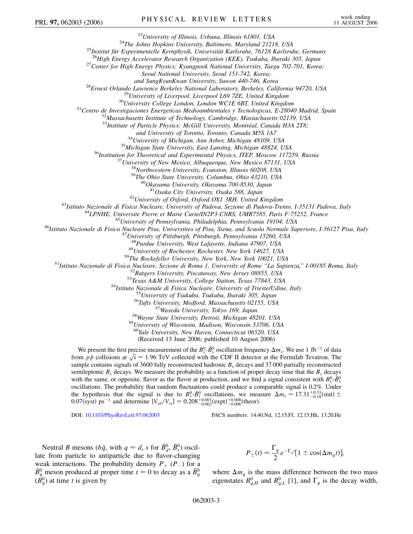<sup>23</sup>University of Illinois, Urbana, Illinois 61801, USA<br><sup>24</sup>The Johns Hopkins University, Baltimore, Maryland 21218, USA<br><sup>25</sup>Institut für Experimentelle Kernphysik, Universität Karlsruhe, 76128 Karlsruhe, Germany<br><sup>26</sup>High

*Seoul National University, Seoul 151-742, Korea;*

and SungKyunKwan University, Suwon 440-746, Korea<br><sup>28</sup>Ernest Orlando Lawrence Berkeley National Laboratory, Berkeley, California 94720, USA<br><sup>29</sup>University of Liverpool, Liverpool L69 7ZE, United Kingdom<br><sup>30</sup>University Col

<sup>33</sup>Institute of Particle Physics: McGill University, Montréal, Canada H3A 2T8;

and University of Toronto, Toronto, Canada M5S 1A7<br><sup>34</sup>University of Michigan, Ann Arbor, Michigan 48109, USA<br><sup>35</sup>Michigan State University, East Lansing, Michigan 48824, USA<br><sup>36</sup>Institution for Theoretical and Experimenta

<sup>42</sup>University of Oxford, Oxford OX1 3RH, United Kingdom<br><sup>43</sup>Istituto Nazionale di Fisica Nucleare, University of Padova, Sezione di Padova-Trento, I-35131 Padova, Italy<br><sup>44</sup>LPNHE, Universite Pierre et Marie Curie/IN2P3-C

<sup>48</sup>Purdue University, West Lafayette, Indiana 47907, USA<br><sup>49</sup>University of Rochester, Rochester, New York 14627, USA<br><sup>51</sup>Istituto Nazionale di Fisica Nucleare, Secione di Roma 1, University of Rochester, New York, New Yo

<sup>59</sup> University of Wisconsin, Madison, Wisconsin 53706, USA<br><sup>60</sup>Yale University, New Haven, Connecticut 06520, USA

(Received 13 June 2006; published 10 August 2006)

We present the first precise measurement of the  $B_s^0$ - $\bar{B}_s^0$  oscillation frequency  $\Delta m_s$ . We use 1 fb<sup>-1</sup> of data we present the first precise measurement of the  $B_s$ - $B_s$  oscillation requency  $\Delta m_s$ , we use 1 to 30 data<br>from  $p\bar{p}$  collisions at  $\sqrt{s} = 1.96$  TeV collected with the CDF II detector at the Fermilab Tevatron. The sample contains signals of 3600 fully reconstructed hadronic *Bs* decays and 37 000 partially reconstructed semileptonic  $B<sub>s</sub>$  decays. We measure the probability as a function of proper decay time that the  $B<sub>s</sub>$  decays with the same, or opposite, flavor as the flavor at production, and we find a signal consistent with  $B_s^0$ - $\bar{B}_s^0$ oscillations. The probability that random fluctuations could produce a comparable signal is 0.2%. Under the hypothesis that the signal is due to  $B_s^0$ - $\bar{B}_s^0$  oscillations, we measure  $\Delta m_s = 17.31^{+0.33}_{-0.18}$ (stat)  $\pm$ 0.07(syst) ps<sup>-1</sup> and determine  $|V_{td}/V_{ts}| = 0.208^{+0.001}_{-0.002}$  (expt) $^{+0.008}_{-0.006}$  (theor).

DOI: [10.1103/PhysRevLett.97.062003](http://dx.doi.org/10.1103/PhysRevLett.97.062003) PACS numbers: 14.40.Nd, 12.15.Ff, 12.15.Hh, 13.20.He

Neutral *B* mesons ( $b\bar{q}$ , with  $q = d$ , *s* for  $\bar{B}_d^0$ ,  $\bar{B}_s^0$ ) oscillate from particle to antiparticle due to flavor-changing weak interactions. The probability density  $P_+$  ( $P_-$ ) for a  $\bar{B}^0_q$  meson produced at proper time  $t = 0$  to decay as a  $\bar{B}^0_q$  $(B_q^0)$  at time *t* is given by

$$
P_{\pm}(t) = \frac{\Gamma_q}{2} e^{-\Gamma_q t} [1 \pm \cos(\Delta m_q t)],
$$

where  $\Delta m_q$  is the mass difference between the two mass eigenstates  $B_{q,H}^0$  and  $B_{q,L}^0$  [[1\]](#page-6-0), and  $\Gamma_q$  is the decay width,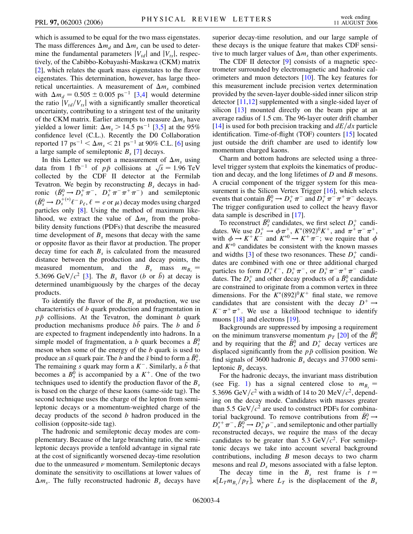which is assumed to be equal for the two mass eigenstates. The mass differences  $\Delta m_d$  and  $\Delta m_s$  can be used to determine the fundamental parameters  $|V_{td}|$  and  $|V_{ts}|$ , respectively, of the Cabibbo-Kobayashi-Maskawa (CKM) matrix [\[2\]](#page-6-1), which relates the quark mass eigenstates to the flavor eigenstates. This determination, however, has large theoretical uncertainties. A measurement of  $\Delta m_s$  combined with  $\Delta m_d = 0.505 \pm 0.005$  ps<sup>-1</sup> [\[3,](#page-6-2)[4](#page-6-3)] would determine the ratio  $|V_{td}/V_{ts}|$  with a significantly smaller theoretical uncertainty, contributing to a stringent test of the unitarity of the CKM matrix. Earlier attempts to measure  $\Delta m_s$  have yielded a lower limit:  $\Delta m_s > 14.5 \text{ ps}^{-1}$  [[3](#page-6-2),[5\]](#page-6-4) at the 95% confidence level (C.L.). Recently the D0 Collaboration reported 17 ps<sup>-1</sup>  $< \Delta m_s < 21$  ps<sup>-1</sup> at 90% C.L. [[6](#page-6-5)] using a large sample of semileptonic  $B_s$  [[7](#page-6-6)] decays.

In this Letter we report a measurement of  $\Delta m_s$  using In this Letter we report a measurement of  $\Delta m_s$  using<br>data from 1 fb<sup>-1</sup> of  $p\bar{p}$  collisions at  $\sqrt{s} = 1.96$  TeV collected by the CDF II detector at the Fermilab Tevatron. We begin by reconstructing  $B_s$  decays in hadronic  $(\bar{B}_s^0 \to D_s^+ \pi^-$ ,  $D_s^+ \pi^- \pi^+ \pi^-)$  and semileptonic  $(\bar{B}_s^0 \rightarrow D_s^{+(*)}\ell^- \bar{\nu}_\ell, \ell = e \text{ or } \mu)$  decay modes using charged particles only [[8\]](#page-6-7). Using the method of maximum likelihood, we extract the value of  $\Delta m_s$  from the probability density functions (PDFs) that describe the measured time development of  $B_s$  mesons that decay with the same or opposite flavor as their flavor at production. The proper decay time for each  $B_s$  is calculated from the measured distance between the production and decay points, the measured momentum, and the  $B_s$  mass  $m_{B_s} =$ 5.3696 GeV/ $c^2$  [[3\]](#page-6-2). The  $B_s$  flavor (*b* or  $\bar{b}$ ) at decay is determined unambiguously by the charges of the decay products.

To identify the flavor of the  $B<sub>s</sub>$  at production, we use characteristics of *b* quark production and fragmentation in *pp* collisions. At the Tevatron, the dominant *b* quark production mechanisms produce *bb* pairs. The *b* and *b* are expected to fragment independently into hadrons. In a simple model of fragmentation, a *b* quark becomes a  $\bar{B}_{s}^{0}$ meson when some of the energy of the *b* quark is used to produce an  $s\bar{s}$  quark pair. The *b* and the  $\bar{s}$  bind to form a  $\bar{B}_s^0$ . The remaining *s* quark may form a  $K^-$ . Similarly, a  $\bar{b}$  that becomes a  $B_s^0$  is accompanied by a  $K^+$ . One of the two techniques used to identify the production flavor of the  $B_s$ is based on the charge of these kaons (same-side tag). The second technique uses the charge of the lepton from semileptonic decays or a momentum-weighted charge of the decay products of the second *b* hadron produced in the collision (opposite-side tag).

The hadronic and semileptonic decay modes are complementary. Because of the large branching ratio, the semileptonic decays provide a tenfold advantage in signal rate at the cost of significantly worsened decay-time resolution due to the unmeasured  $\nu$  momentum. Semileptonic decays dominate the sensitivity to oscillations at lower values of  $\Delta m_s$ . The fully reconstructed hadronic  $B_s$  decays have superior decay-time resolution, and our large sample of these decays is the unique feature that makes CDF sensitive to much larger values of  $\Delta m_s$  than other experiments.

The CDF II detector [\[9](#page-6-8)] consists of a magnetic spectrometer surrounded by electromagnetic and hadronic calorimeters and muon detectors [[10](#page-6-9)]. The key features for this measurement include precision vertex determination provided by the seven-layer double-sided inner silicon strip detector [[11](#page-6-10)[,12\]](#page-6-11) supplemented with a single-sided layer of silicon [[13](#page-6-12)] mounted directly on the beam pipe at an average radius of 1.5 cm. The 96-layer outer drift chamber  $[14]$  is used for both precision tracking and  $dE/dx$  particle identification. Time-of-flight (TOF) counters [\[15\]](#page-6-14) located just outside the drift chamber are used to identify low momentum charged kaons.

Charm and bottom hadrons are selected using a threelevel trigger system that exploits the kinematics of production and decay, and the long lifetimes of *D* and *B* mesons. A crucial component of the trigger system for this mea-surement is the Silicon Vertex Trigger [[16](#page-6-15)], which selects events that contain  $\bar{B}_s^0 \to D_s^+ \pi^-$  and  $D_s^+ \pi^- \pi^+ \pi^-$  decays. The trigger configuration used to collect the heavy flavor data sample is described in [\[17\]](#page-6-16).

To reconstruct  $\bar{B}_s^0$  candidates, we first select  $D_s^+$  candidates. We use  $D_s^+ \to \phi \pi^+, K^*(892)^0 K^+,$  and  $\pi^+ \pi^- \pi^+,$ with  $\phi \to K^+K^-$  and  $K^{*0} \to K^+\pi^-$ ; we require that  $\phi$ and  $K^{*0}$  candidates be consistent with the known masses and widths [\[3](#page-6-2)] of these two resonances. These  $D_s^+$  candidates are combined with one or three additional charged particles to form  $D_s^+ \ell^-$ ,  $D_s^+ \pi^-$ , or  $D_s^+ \pi^- \pi^+ \pi^-$  candidates. The  $D_s^+$  and other decay products of a  $\bar{B}_s^0$  candidate are constrained to originate from a common vertex in three dimensions. For the  $K^*(892)^0 K^+$  final state, we remove candidates that are consistent with the decay  $D^+ \rightarrow$  $K^-\pi^+\pi^+$ . We use a likelihood technique to identify muons [\[18\]](#page-6-17) and electrons [[19](#page-6-18)].

Backgrounds are suppressed by imposing a requirement on the minimum transverse momentum  $p_T$  [[20](#page-6-19)] of the  $\bar{B}_{s}^0$ and by requiring that the  $\bar{B}_{s}^{0}$  and  $D_{s}^{+}$  decay vertices are displaced significantly from the  $p\bar{p}$  collision position. We find signals of 3600 hadronic  $B_s$  decays and 37000 semileptonic  $B<sub>s</sub>$  decays.

For the hadronic decays, the invariant mass distribution (see Fig. [1](#page-4-0)) has a signal centered close to  $m_{B_s} =$ 5.3696 GeV/ $c^2$  with a width of 14 to 20 MeV/ $c^2$ , depending on the decay mode. Candidates with masses greater than 5.5 GeV $/c^2$  are used to construct PDFs for combinatorial background. To remove contributions from  $\bar{B}_s^0 \rightarrow$  $D_s^{*+}\pi^-$ ,  $\bar{B}_s^0 \rightarrow D_s^+ \rho^-$ , and semileptonic and other partially reconstructed decays, we require the mass of the decay candidates to be greater than 5.3  $GeV/c^2$ . For semileptonic decays we take into account several background contributions, including *B* meson decays to two charm mesons and real  $D_s$  mesons associated with a false lepton.

The decay time in the  $B_s$  rest frame is  $t =$  $\kappa [L_T m_{B_s}/p_T]$ , where  $L_T$  is the displacement of the  $B_s$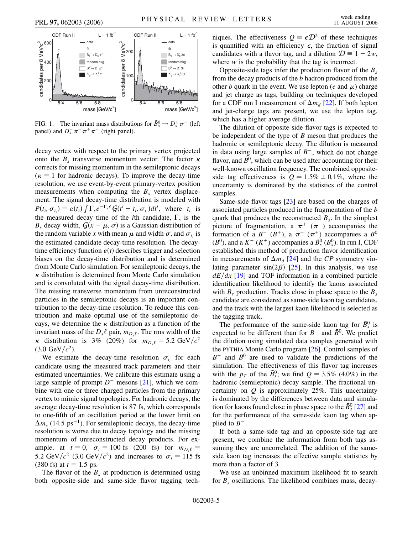<span id="page-4-0"></span>

FIG. 1. The invariant mass distributions for  $\bar{B}_s^0 \to D_s^+ \pi^-$  (left panel) and  $D_s^+ \pi^- \pi^+ \pi^-$  (right panel).

decay vertex with respect to the primary vertex projected onto the  $B_s$  transverse momentum vector. The factor  $\kappa$ corrects for missing momentum in the semileptonic decays  $(\kappa = 1$  for hadronic decays). To improve the decay-time resolution, we use event-by-event primary-vertex position measurements when computing the  $B<sub>s</sub>$  vertex displacement. The signal decay-time distribution is modeled with  $P(t_i, \sigma_{t_i}) = \varepsilon(t_i) \int \Gamma_s e^{-\Gamma_s t'} \mathcal{G}(t'-t_i, \sigma_{t_i}) dt'$ , where  $t_i$  is the measured decay time of the *i*th candidate,  $\Gamma_s$  is the  $B_s$  decay width,  $G(x - \mu, \sigma)$  is a Gaussian distribution of the random variable x with mean  $\mu$  and width  $\sigma$ , and  $\sigma_t$  is the estimated candidate decay-time resolution. The decaytime efficiency function  $\varepsilon(t)$  describes trigger and selection biases on the decay-time distribution and is determined from Monte Carlo simulation. For semileptonic decays, the  $\kappa$  distribution is determined from Monte Carlo simulation and is convoluted with the signal decay-time distribution. The missing transverse momentum from unreconstructed particles in the semileptonic decays is an important contribution to the decay-time resolution. To reduce this contribution and make optimal use of the semileptonic decays, we determine the  $\kappa$  distribution as a function of the invariant mass of the  $D_s \ell$  pair,  $m_{D_s \ell}$ . The rms width of the  $\kappa$  distribution is 3% (20%) for  $m_{D_s\ell} = 5.2 \text{ GeV}/c^2$  $(3.0 \text{ GeV}/c^2)$ .

We estimate the decay-time resolution  $\sigma_{t_i}$  for each candidate using the measured track parameters and their estimated uncertainties. We calibrate this estimate using a large sample of prompt  $D^+$  mesons [\[21\]](#page-6-20), which we combine with one or three charged particles from the primary vertex to mimic signal topologies. For hadronic decays, the average decay-time resolution is 87 fs, which corresponds to one-fifth of an oscillation period at the lower limit on  $\Delta m_s$  (14.5 ps<sup>-1</sup>). For semileptonic decays, the decay-time resolution is worse due to decay topology and the missing momentum of unreconstructed decay products. For example, at  $t = 0$ ,  $\sigma_t = 100$  fs (200 fs) for  $m_{D_s\ell} =$ 5.2 GeV/ $c^2$  (3.0 GeV/ $c^2$ ) and increases to  $\sigma_t = 115$  fs  $(380 \text{ fs})$  at  $t = 1.5 \text{ ps}$ .

The flavor of the  $B_s$  at production is determined using both opposite-side and same-side flavor tagging tech-

niques. The effectiveness  $Q = \epsilon \mathcal{D}^2$  of these techniques is quantified with an efficiency  $\epsilon$ , the fraction of signal candidates with a flavor tag, and a dilution  $\mathcal{D} \equiv 1 - 2w$ , where *w* is the probability that the tag is incorrect.

Opposite-side tags infer the production flavor of the *Bs* from the decay products of the *b* hadron produced from the other *b* quark in the event. We use lepton (*e* and  $\mu$ ) charge and jet charge as tags, building on techniques developed for a CDF run I measurement of  $\Delta m_d$  [[22\]](#page-6-21). If both lepton and jet-charge tags are present, we use the lepton tag, which has a higher average dilution.

The dilution of opposite-side flavor tags is expected to be independent of the type of *B* meson that produces the hadronic or semileptonic decay. The dilution is measured in data using large samples of  $B^-$ , which do not change flavor, and  $\bar{B}^0$ , which can be used after accounting for their well-known oscillation frequency. The combined oppositeside tag effectiveness is  $Q = 1.5\% \pm 0.1\%$ , where the uncertainty is dominated by the statistics of the control samples.

Same-side flavor tags [\[23\]](#page-6-22) are based on the charges of associated particles produced in the fragmentation of the *b* quark that produces the reconstructed  $B_s$ . In the simplest picture of fragmentation, a  $\pi^+$  ( $\pi^-$ ) accompanies the formation of a  $B^{-}$  ( $B^{+}$ ), a  $\pi^{-}$  ( $\pi^{+}$ ) accompanies a  $\bar{B}^{0}$  $(B^0)$ , and a  $K^ (K^+)$  accompanies a  $\bar{B}^0_s$   $(B^0_s)$ . In run I, CDF established this method of production flavor identification in measurements of  $\Delta m_d$  [[24](#page-6-23)] and the *CP* symmetry violating parameter  $sin(2\beta)$  [[25](#page-6-24)]. In this analysis, we use  $dE/dx$  [[19](#page-6-18)] and TOF information in a combined particle identification likelihood to identify the kaons associated with  $B_s$  production. Tracks close in phase space to the  $B_s$ candidate are considered as same-side kaon tag candidates, and the track with the largest kaon likelihood is selected as the tagging track.

The performance of the same-side kaon tag for  $\bar{B}_{s}^{0}$  is expected to be different than for  $B^-$  and  $\bar{B}^0$ . We predict the dilution using simulated data samples generated with the PYTHIA Monte Carlo program [\[26\]](#page-6-25). Control samples of  $B^-$  and  $\bar{B}^0$  are used to validate the predictions of the simulation. The effectiveness of this flavor tag increases with the  $p_T$  of the  $\bar{B}_s^0$ ; we find  $Q = 3.5\%$  (4.0%) in the hadronic (semileptonic) decay sample. The fractional uncertainty on *Q* is approximately 25%. This uncertainty is dominated by the differences between data and simulation for kaons found close in phase space to the  $\bar{B}_s^0$  [[27](#page-6-26)] and for the performance of the same-side kaon tag when applied to  $B^-$ .

If both a same-side tag and an opposite-side tag are present, we combine the information from both tags assuming they are uncorrelated. The addition of the sameside kaon tag increases the effective sample statistics by more than a factor of 3.

We use an unbinned maximum likelihood fit to search for *Bs* oscillations. The likelihood combines mass, decay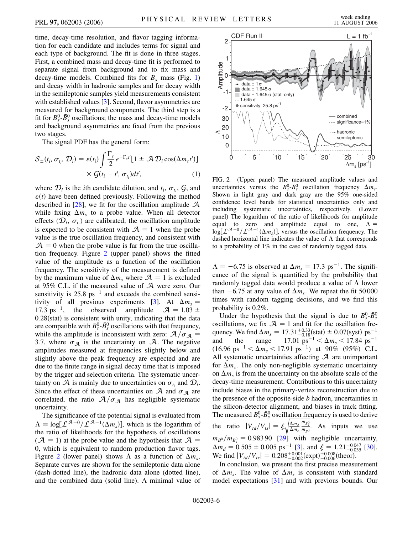time, decay-time resolution, and flavor tagging information for each candidate and includes terms for signal and each type of background. The fit is done in three stages. First, a combined mass and decay-time fit is performed to separate signal from background and to fix mass and decay-time models. Combined fits for  $B_s$  mass (Fig. [1\)](#page-4-0) and decay width in hadronic samples and for decay width in the semileptonic samples yield measurements consistent with established values [[3\]](#page-6-2). Second, flavor asymmetries are measured for background components. The third step is a fit for  $B_s^0$ - $\bar{B}_s^0$  oscillations; the mass and decay-time models and background asymmetries are fixed from the previous two stages.

The signal PDF has the general form:

$$
S_{\pm}(t_i, \sigma_{t_i}, \mathcal{D}_i) = \varepsilon(t_i) \int \frac{\Gamma_s}{2} e^{-\Gamma_s t'} [1 \pm \mathcal{A} \mathcal{D}_i \cos(\Delta m_s t')]
$$

$$
\times \mathcal{G}(t_i - t', \sigma_{t_i}) dt', \tag{1}
$$

where  $\mathcal{D}_i$  is the *i*th candidate dilution, and  $t_i$ ,  $\sigma_{t_i}$ ,  $\mathcal{G}$ , and  $\varepsilon(t)$  have been defined previously. Following the method described in [\[28](#page-6-27)], we fit for the oscillation amplitude  $\mathcal A$ while fixing  $\Delta m_s$  to a probe value. When all detector effects  $(\mathcal{D}_i, \sigma_{t_i})$  are calibrated, the oscillation amplitude is expected to be consistent with  $A = 1$  when the probe value is the true oscillation frequency, and consistent with  $A = 0$  when the probe value is far from the true oscillation frequency. Figure [2](#page-5-0) (upper panel) shows the fitted value of the amplitude as a function of the oscillation frequency. The sensitivity of the measurement is defined by the maximum value of  $\Delta m_s$  where  $\mathcal{A} = 1$  is excluded at 95% C.L. if the measured value of A were zero. Our sensitivity is  $25.8 \text{ ps}^{-1}$  and exceeds the combined sensi-tivity of all previous experiments [[3](#page-6-2)]. At  $\Delta m_s =$ 17.3 ps<sup>-1</sup>, the observed amplitude  $A = 1.03 \pm 1.03$ 0.28(stat) is consistent with unity, indicating that the data are compatible with  $B_s^0$ - $\bar{B}_s^0$  oscillations with that frequency, while the amplitude is inconsistent with zero:  $A/\sigma_A$  = 3.7, where  $\sigma_{\mathcal{A}}$  is the uncertainty on  $\mathcal{A}$ . The negative amplitudes measured at frequencies slightly below and slightly above the peak frequency are expected and are due to the finite range in signal decay time that is imposed by the trigger and selection criteria. The systematic uncertainty on  $\mathcal A$  is mainly due to uncertainties on  $\sigma_t$  and  $\mathcal D_i$ . Since the effect of these uncertainties on  $A$  and  $\sigma_A$  are correlated, the ratio  $A/\sigma_A$  has negligible systematic uncertainty.

The significance of the potential signal is evaluated from  $\Lambda \equiv \log[\mathcal{L}^{\mathcal{A}=0}/\mathcal{L}^{\mathcal{A}=1}(\Delta m_s)]$ , which is the logarithm of the ratio of likelihoods for the hypothesis of oscillations  $(A = 1)$  at the probe value and the hypothesis that  $A =$ 0, which is equivalent to random production flavor tags. Figure [2](#page-5-0) (lower panel) shows  $\Lambda$  as a function of  $\Delta m_s$ . Separate curves are shown for the semileptonic data alone (dash-dotted line), the hadronic data alone (dotted line), and the combined data (solid line). A minimal value of

<span id="page-5-0"></span>

FIG. 2. (Upper panel) The measured amplitude values and uncertainties versus the  $B_s^0$ - $\bar{B}_s^0$  oscillation frequency  $\Delta m_s$ . Shown in light gray and dark gray are the 95% one-sided confidence level bands for statistical uncertainties only and including systematic uncertainties, respectively. (Lower panel) The logarithm of the ratio of likelihoods for amplitude equal to zero and amplitude equal to one,  $\Lambda =$  $\log[L^{A=0}/L^{A=1}(\Delta m_s)]$ , versus the oscillation frequency. The dashed horizontal line indicates the value of  $\Lambda$  that corresponds to a probability of 1% in the case of randomly tagged data.

 $\Lambda = -6.75$  is observed at  $\Delta m_s = 17.3$  ps<sup>-1</sup>. The significance of the signal is quantified by the probability that randomly tagged data would produce a value of  $\Lambda$  lower than  $-6.75$  at any value of  $\Delta m_s$ . We repeat the fit 50 000 times with random tagging decisions, and we find this probability is 0.2%.

Under the hypothesis that the signal is due to  $B_s^0$ - $\bar{B}_s^0$ oscillations, we fix  $A = 1$  and fit for the oscillation frequency. We find  $\Delta m_s = 17.31^{+0.33}_{-0.18}$ (stat)  $\pm 0.07$ (syst) ps<sup>-1</sup> and the range  $17.01 \text{ ps}^{-1} < \Delta m_s < 17.84 \text{ ps}^{-1}$  $(16.96 \text{ ps}^{-1} < \Delta m_s < 17.91 \text{ ps}^{-1})$  at 90% (95%) C.L. All systematic uncertainties affecting  $A$  are unimportant for  $\Delta m_s$ . The only non-negligible systematic uncertainty on  $\Delta m_s$  is from the uncertainty on the absolute scale of the decay-time measurement. Contributions to this uncertainty include biases in the primary-vertex reconstruction due to the presence of the opposite-side *b* hadron, uncertainties in the silicon-detector alignment, and biases in track fitting. The measured  $B_s^0$ - $\bar{B}_s^0$  oscillation frequency is used to derive the ratio  $|V_{td}/V_{ts}| = \xi$  $\frac{\Delta m_d}{\Delta m_s} \frac{m_{B_s^0}}{m_{B^0}}$  $\frac{m_{B_5^0}}{m_{B^0}}$ ء،<br>ا . As inputs we use  $m_{B^0}/m_{B_s^0} = 0.98390$  [\[29\]](#page-6-28) with negligible uncertainty,  $\Delta m_d = 0.505 \pm 0.005$  ps<sup>-1</sup> [\[3\]](#page-6-2), and  $\xi = 1.21^{+0.047}_{-0.035}$  [[30\]](#page-6-29). We find  $|V_{td}/V_{ts}| = 0.208^{+0.001}_{-0.002} \text{(expt)}^{+0.008}_{-0.006} \text{(theor)}$ . expectations [[31](#page-6-30)] and  $\frac{1}{2}$  and  $\frac{1}{2}$  and  $\frac{1}{2}$  and  $\frac{1}{2}$  and  $\frac{1}{2}$  and  $\frac{1}{2}$  and  $\frac{1}{2}$  and  $\frac{1}{2}$  and  $\frac{1}{2}$  and  $\frac{1}{2}$  and  $\frac{1}{2}$  and  $\frac{1}{2}$  and  $\frac{1}{2}$  and  $\frac{1}{2}$  and  $\frac$ 

In conclusion, we present the first precise measurement of  $\Delta m_s$ . The value of  $\Delta m_s$  is consistent with standard